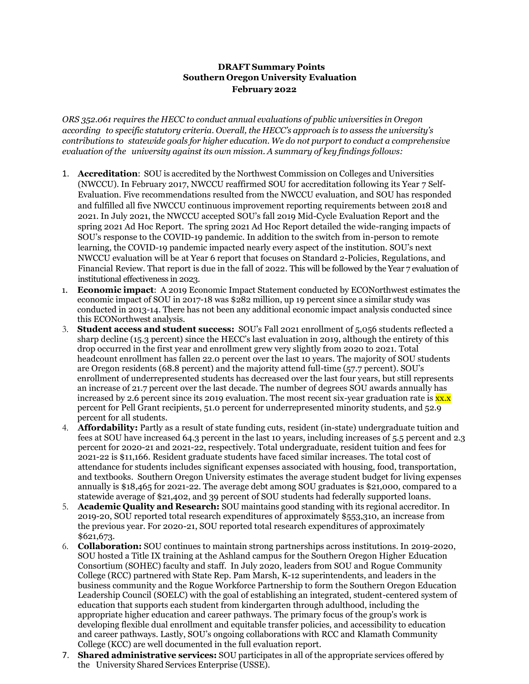## **DRAFT Summary Points Southern Oregon University Evaluation February 2022**

*ORS 352.061 requires the HECC to conduct annual evaluations of public universities in Oregon according to specific statutory criteria. Overall, the HECC's approach is to assess the university's contributions to statewide goals for higher education. We do not purport to conduct a comprehensive evaluation of the university against its own mission. A summary of key findings follows:*

- 1. **Accreditation**: SOU is accredited by the Northwest Commission on Colleges and Universities (NWCCU). In February 2017, NWCCU reaffirmed SOU for accreditation following its Year 7 Self-Evaluation. Five recommendations resulted from the NWCCU evaluation, and SOU has responded and fulfilled all five NWCCU continuous improvement reporting requirements between 2018 and 2021. In July 2021, the NWCCU accepted SOU's fall 2019 Mid-Cycle Evaluation Report and the spring 2021 Ad Hoc Report. The spring 2021 Ad Hoc Report detailed the wide-ranging impacts of SOU's response to the COVID-19 pandemic. In addition to the switch from in-person to remote learning, the COVID-19 pandemic impacted nearly every aspect of the institution. SOU's next NWCCU evaluation will be at Year 6 report that focuses on Standard 2-Policies, Regulations, and Financial Review. That report is due in the fall of 2022. This will be followed by the Year 7 evaluation of institutional effectiveness in 2023.
- 1. **Economic impact**: A 2019 Economic Impact Statement conducted by ECONorthwest estimates the economic impact of SOU in 2017-18 was \$282 million, up 19 percent since a similar study was conducted in 2013-14. There has not been any additional economic impact analysis conducted since this ECONorthwest analysis.
- 3. **Student access and student success:** SOU's Fall 2021 enrollment of 5,056 students reflected a sharp decline (15.3 percent) since the HECC's last evaluation in 2019, although the entirety of this drop occurred in the first year and enrollment grew very slightly from 2020 to 2021. Total headcount enrollment has fallen 22.0 percent over the last 10 years. The majority of SOU students are Oregon residents (68.8 percent) and the majority attend full-time (57.7 percent). SOU's enrollment of underrepresented students has decreased over the last four years, but still represents an increase of 21.7 percent over the last decade. The number of degrees SOU awards annually has increased by 2.6 percent since its 2019 evaluation. The most recent six-year graduation rate is  $\frac{xx}{x}$ percent for Pell Grant recipients, 51.0 percent for underrepresented minority students, and 52.9 percent for all students.
- 4. **Affordability:** Partly as a result of state funding cuts, resident (in-state) undergraduate tuition and fees at SOU have increased 64.3 percent in the last 10 years, including increases of 5.5 percent and 2.3 percent for 2020-21 and 2021-22, respectively. Total undergraduate, resident tuition and fees for 2021-22 is \$11,166. Resident graduate students have faced similar increases. The total cost of attendance for students includes significant expenses associated with housing, food, transportation, and textbooks. Southern Oregon University estimates the average student budget for living expenses annually is \$18,465 for 2021-22. The average debt among SOU graduates is \$21,000, compared to a statewide average of \$21,402, and 39 percent of SOU students had federally supported loans.
- 5. **Academic Quality and Research:** SOU maintains good standing with its regional accreditor. In 2019-20, SOU reported total research expenditures of approximately \$553,310, an increase from the previous year. For 2020-21, SOU reported total research expenditures of approximately \$621,673.
- 6. **Collaboration:** SOU continues to maintain strong partnerships across institutions. In 2019-2020, SOU hosted a Title IX training at the Ashland campus for the Southern Oregon Higher Education Consortium (SOHEC) faculty and staff. In July 2020, leaders from SOU and Rogue Community College (RCC) partnered with State Rep. Pam Marsh, K-12 superintendents, and leaders in the business community and the Rogue Workforce Partnership to form the Southern Oregon Education Leadership Council (SOELC) with the goal of establishing an integrated, student-centered system of education that supports each student from kindergarten through adulthood, including the appropriate higher education and career pathways. The primary focus of the group's work is developing flexible dual enrollment and equitable transfer policies, and accessibility to education and career pathways. Lastly, SOU's ongoing collaborations with RCC and Klamath Community College (KCC) are well documented in the full evaluation report.
- 7. **Shared administrative services:** SOU participates in all of the appropriate services offered by the University Shared Services Enterprise (USSE).